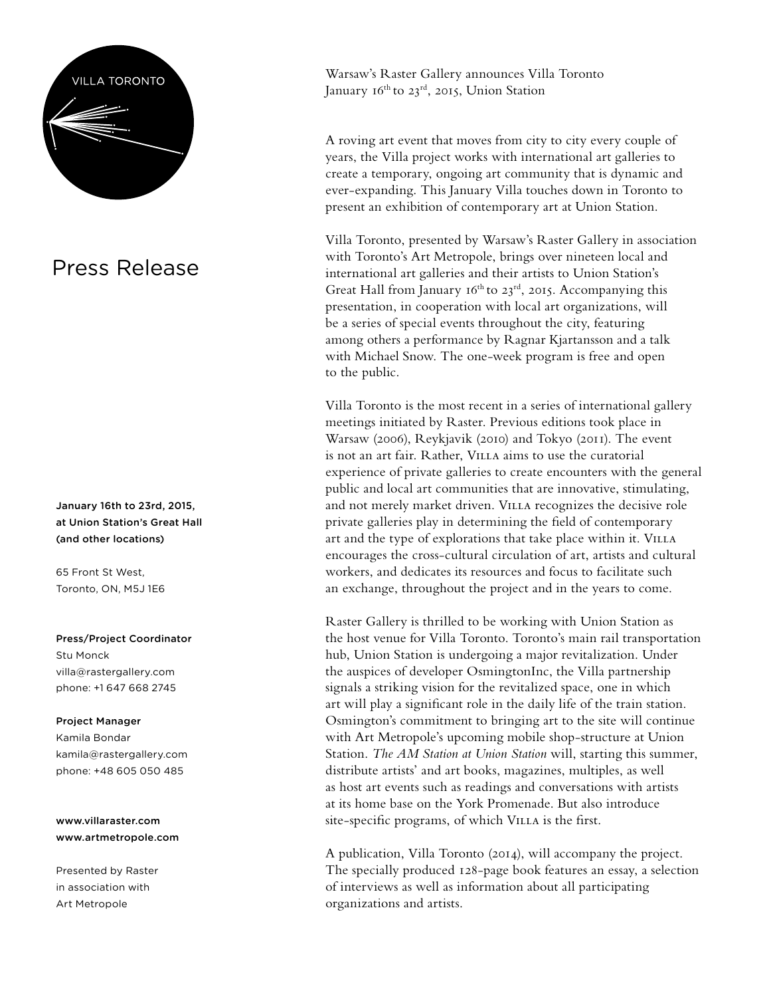

## Press Release

January 16th to 23rd, 2015, at Union Station's Great Hall (and other locations)

65 Front St West, Toronto, ON, M5J 1E6

Press/Project Coordinator

Stu Monck [villa@rastergallery.com](mailto:villa@rastergallery.com) phone: [+1 647 668 2745](tel:%2B1 647 668 2745)

#### Project Manager

Kamila Bondar kamila@rastergallery.com phone: +48 605 050 485

[www.villaraster.com](http://www.villaraster.com) [www.artmetropole.com](http://www.artmetropole.com)

Presented by Raster in association with Art Metropole

Warsaw's Raster Gallery announces Villa Toronto January  $16^{th}$  to 23<sup>rd</sup>, 2015, Union Station

A roving art event that moves from city to city every couple of years, the Villa project works with international art galleries to create a temporary, ongoing art community that is dynamic and ever-expanding. This January Villa touches down in Toronto to present an exhibition of contemporary art at Union Station.

Villa Toronto, presented by Warsaw's Raster Gallery in association with Toronto's Art Metropole, brings over nineteen local and international art galleries and their artists to Union Station's Great Hall from January 16<sup>th</sup> to 23<sup>rd</sup>, 2015. Accompanying this presentation, in cooperation with local art organizations, will be a series of special events throughout the city, featuring among others a performance by Ragnar Kjartansson and a talk with Michael Snow. The one-week program is free and open to the public.

Villa Toronto is the most recent in a series of international gallery meetings initiated by Raster. Previous editions took place in Warsaw (2006), Reykjavik (2010) and Tokyo (2011). The event is not an art fair. Rather, Villa aims to use the curatorial experience of private galleries to create encounters with the general public and local art communities that are innovative, stimulating, and not merely market driven. VILLA recognizes the decisive role private galleries play in determining the field of contemporary art and the type of explorations that take place within it. VILLA encourages the cross-cultural circulation of art, artists and cultural workers, and dedicates its resources and focus to facilitate such an exchange, throughout the project and in the years to come.

Raster Gallery is thrilled to be working with Union Station as the host venue for Villa Toronto. Toronto's main rail transportation hub, Union Station is undergoing a major revitalization. Under the auspices of developer OsmingtonInc, the Villa partnership signals a striking vision for the revitalized space, one in which art will play a significant role in the daily life of the train station. Osmington's commitment to bringing art to the site will continue with Art Metropole's upcoming mobile shop-structure at Union Station. *The AM Station at Union Station* will, starting this summer, distribute artists' and art books, magazines, multiples, as well as host art events such as readings and conversations with artists at its home base on the York Promenade. But also introduce site-specific programs, of which VILLA is the first.

A publication, Villa Toronto (2014), will accompany the project. The specially produced 128-page book features an essay, a selection of interviews as well as information about all participating organizations and artists.